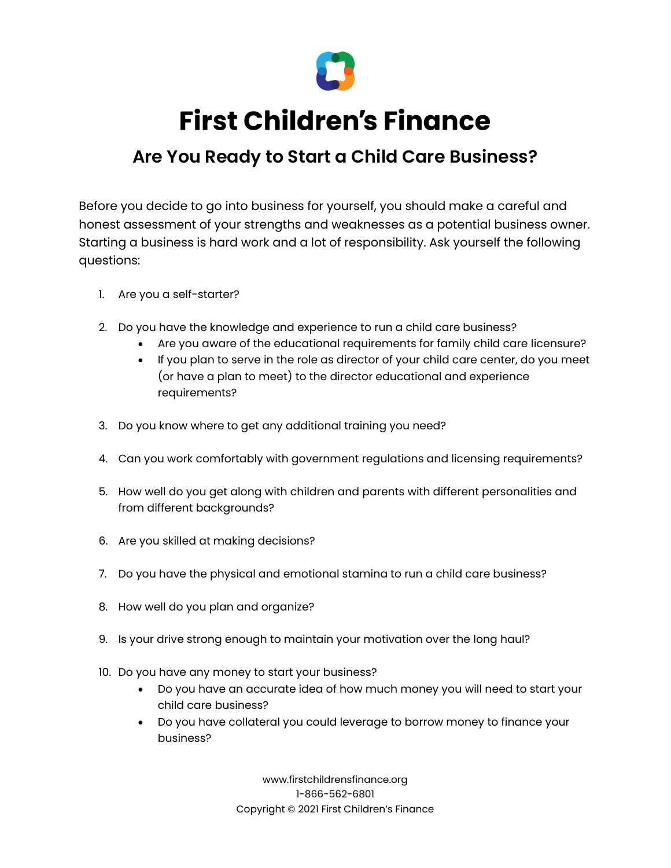

## **First Children's Finance**

## **Are You Ready to Start a Child Care Business?**

Before you decide to go into business for yourself, you should make a careful and honest assessment of your strengths and weaknesses as a potential business owner. Starting a business is hard work and a lot of responsibility. Ask yourself the following questions:

- 1. Are you a self-starter?
- 2. Do you have the knowledge and experience to run a child care business?
	- Are you aware of the educational requirements for family child care licensure?
	- If you plan to serve in the role as director of your child care center, do you meet (or have a plan to meet) to the director educational and experience requirements?
- 3. Do you know where to get any additional training you need?
- 4. Can you work comfortably with government regulations and licensing requirements?
- 5. How well do you get along with children and parents with different personalities and from different backgrounds?
- 6. Are you skilled at making decisions?
- 7. Do you have the physical and emotional stamina to run a child care business?
- 8. How well do you plan and organize?
- 9. Is your drive strong enough to maintain your motivation over the long haul?
- 10. Do you have any money to start your business?
	- Do you have an accurate idea of how much money you will need to start your child care business?
	- Do you have collateral you could leverage to borrow money to finance your business?

www.firstchildrensfinance.org 1-866-562-6801 Copyright © 2021 First Children's Finance